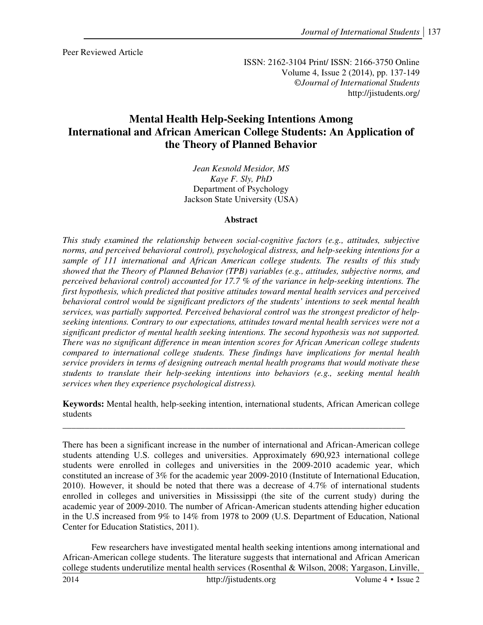Peer Reviewed Article

ISSN: 2162-3104 Print/ ISSN: 2166-3750 Online Volume 4, Issue 2 (2014), pp. 137-149 ©*Journal of International Students* http://jistudents.org/

# **Mental Health Help-Seeking Intentions Among International and African American College Students: An Application of the Theory of Planned Behavior**

*Jean Kesnold Mesidor, MS Kaye F. Sly, PhD*  Department of Psychology Jackson State University (USA)

### **Abstract**

*This study examined the relationship between social-cognitive factors (e.g., attitudes, subjective norms, and perceived behavioral control), psychological distress, and help-seeking intentions for a sample of 111 international and African American college students. The results of this study showed that the Theory of Planned Behavior (TPB) variables (e.g., attitudes, subjective norms, and perceived behavioral control) accounted for 17.7 % of the variance in help-seeking intentions. The first hypothesis, which predicted that positive attitudes toward mental health services and perceived behavioral control would be significant predictors of the students' intentions to seek mental health services, was partially supported. Perceived behavioral control was the strongest predictor of helpseeking intentions. Contrary to our expectations, attitudes toward mental health services were not a significant predictor of mental health seeking intentions. The second hypothesis was not supported. There was no significant difference in mean intention scores for African American college students compared to international college students. These findings have implications for mental health service providers in terms of designing outreach mental health programs that would motivate these students to translate their help-seeking intentions into behaviors (e.g., seeking mental health services when they experience psychological distress).* 

**Keywords:** Mental health, help-seeking intention, international students, African American college students

There has been a significant increase in the number of international and African-American college students attending U.S. colleges and universities. Approximately 690,923 international college students were enrolled in colleges and universities in the 2009-2010 academic year, which constituted an increase of 3% for the academic year 2009-2010 (Institute of International Education, 2010). However, it should be noted that there was a decrease of 4.7% of international students enrolled in colleges and universities in Mississippi (the site of the current study) during the academic year of 2009-2010. The number of African-American students attending higher education in the U.S increased from 9% to 14% from 1978 to 2009 (U.S. Department of Education, National Center for Education Statistics, 2011).

 Few researchers have investigated mental health seeking intentions among international and African-American college students. The literature suggests that international and African American college students underutilize mental health services (Rosenthal & Wilson, 2008; Yargason, Linville,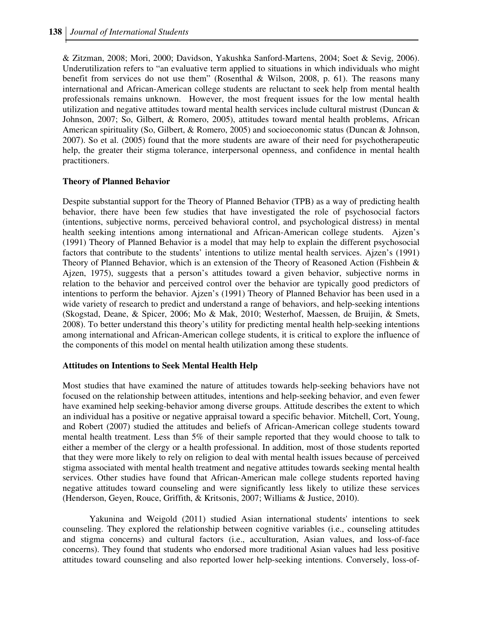& Zitzman, 2008; Mori, 2000; Davidson, Yakushka Sanford-Martens, 2004; Soet & Sevig, 2006). Underutilization refers to "an evaluative term applied to situations in which individuals who might benefit from services do not use them" (Rosenthal & Wilson, 2008, p. 61). The reasons many international and African-American college students are reluctant to seek help from mental health professionals remains unknown. However, the most frequent issues for the low mental health utilization and negative attitudes toward mental health services include cultural mistrust (Duncan  $\&$ Johnson, 2007; So, Gilbert, & Romero, 2005), attitudes toward mental health problems, African American spirituality (So, Gilbert, & Romero, 2005) and socioeconomic status (Duncan & Johnson, 2007). So et al. (2005) found that the more students are aware of their need for psychotherapeutic help, the greater their stigma tolerance, interpersonal openness, and confidence in mental health practitioners.

### **Theory of Planned Behavior**

Despite substantial support for the Theory of Planned Behavior (TPB) as a way of predicting health behavior, there have been few studies that have investigated the role of psychosocial factors (intentions, subjective norms, perceived behavioral control, and psychological distress) in mental health seeking intentions among international and African-American college students. Ajzen's (1991) Theory of Planned Behavior is a model that may help to explain the different psychosocial factors that contribute to the students' intentions to utilize mental health services. Ajzen's (1991) Theory of Planned Behavior, which is an extension of the Theory of Reasoned Action (Fishbein & Ajzen, 1975), suggests that a person's attitudes toward a given behavior, subjective norms in relation to the behavior and perceived control over the behavior are typically good predictors of intentions to perform the behavior. Ajzen's (1991) Theory of Planned Behavior has been used in a wide variety of research to predict and understand a range of behaviors, and help-seeking intentions (Skogstad, Deane, & Spicer, 2006; Mo & Mak, 2010; Westerhof, Maessen, de Bruijin, & Smets, 2008). To better understand this theory's utility for predicting mental health help-seeking intentions among international and African-American college students, it is critical to explore the influence of the components of this model on mental health utilization among these students.

#### **Attitudes on Intentions to Seek Mental Health Help**

Most studies that have examined the nature of attitudes towards help-seeking behaviors have not focused on the relationship between attitudes, intentions and help-seeking behavior, and even fewer have examined help seeking-behavior among diverse groups. Attitude describes the extent to which an individual has a positive or negative appraisal toward a specific behavior. Mitchell, Cort, Young, and Robert (2007) studied the attitudes and beliefs of African-American college students toward mental health treatment. Less than 5% of their sample reported that they would choose to talk to either a member of the clergy or a health professional. In addition, most of those students reported that they were more likely to rely on religion to deal with mental health issues because of perceived stigma associated with mental health treatment and negative attitudes towards seeking mental health services. Other studies have found that African-American male college students reported having negative attitudes toward counseling and were significantly less likely to utilize these services (Henderson, Geyen, Rouce, Griffith, & Kritsonis, 2007; Williams & Justice, 2010).

 Yakunina and Weigold (2011) studied Asian international students' intentions to seek counseling. They explored the relationship between cognitive variables (i.e., counseling attitudes and stigma concerns) and cultural factors (i.e., acculturation, Asian values, and loss-of-face concerns). They found that students who endorsed more traditional Asian values had less positive attitudes toward counseling and also reported lower help-seeking intentions. Conversely, loss-of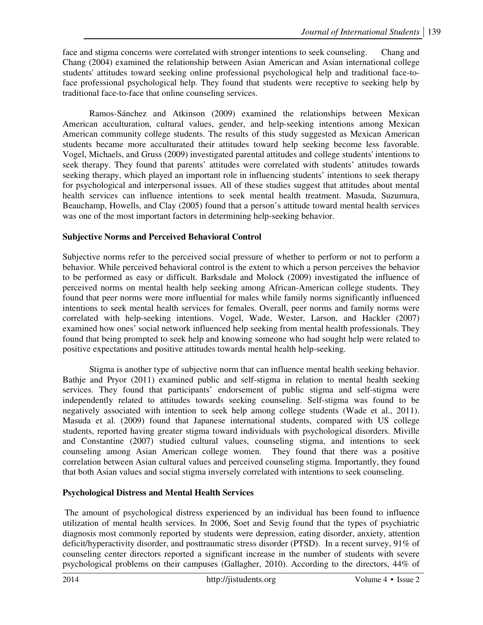face and stigma concerns were correlated with stronger intentions to seek counseling. Chang and Chang (2004) examined the relationship between Asian American and Asian international college students' attitudes toward seeking online professional psychological help and traditional face-toface professional psychological help. They found that students were receptive to seeking help by traditional face-to-face that online counseling services.

 Ramos-Sánchez and Atkinson (2009) examined the relationships between Mexican American acculturation, cultural values, gender, and help-seeking intentions among Mexican American community college students. The results of this study suggested as Mexican American students became more acculturated their attitudes toward help seeking become less favorable. Vogel, Michaels, and Gruss (2009) investigated parental attitudes and college students' intentions to seek therapy. They found that parents' attitudes were correlated with students' attitudes towards seeking therapy, which played an important role in influencing students' intentions to seek therapy for psychological and interpersonal issues. All of these studies suggest that attitudes about mental health services can influence intentions to seek mental health treatment. Masuda, Suzumura, Beauchamp, Howells, and Clay (2005) found that a person's attitude toward mental health services was one of the most important factors in determining help-seeking behavior.

# **Subjective Norms and Perceived Behavioral Control**

Subjective norms refer to the perceived social pressure of whether to perform or not to perform a behavior. While perceived behavioral control is the extent to which a person perceives the behavior to be performed as easy or difficult. Barksdale and Molock (2009) investigated the influence of perceived norms on mental health help seeking among African-American college students. They found that peer norms were more influential for males while family norms significantly influenced intentions to seek mental health services for females. Overall, peer norms and family norms were correlated with help-seeking intentions. Vogel, Wade, Wester, Larson, and Hackler (2007) examined how ones' social network influenced help seeking from mental health professionals. They found that being prompted to seek help and knowing someone who had sought help were related to positive expectations and positive attitudes towards mental health help-seeking.

 Stigma is another type of subjective norm that can influence mental health seeking behavior. Bathje and Pryor (2011) examined public and self-stigma in relation to mental health seeking services. They found that participants' endorsement of public stigma and self-stigma were independently related to attitudes towards seeking counseling. Self-stigma was found to be negatively associated with intention to seek help among college students (Wade et al., 2011). Masuda et al. (2009) found that Japanese international students, compared with US college students, reported having greater stigma toward individuals with psychological disorders. Miville and Constantine (2007) studied cultural values, counseling stigma, and intentions to seek counseling among Asian American college women. They found that there was a positive correlation between Asian cultural values and perceived counseling stigma. Importantly, they found that both Asian values and social stigma inversely correlated with intentions to seek counseling.

# **Psychological Distress and Mental Health Services**

 The amount of psychological distress experienced by an individual has been found to influence utilization of mental health services. In 2006, Soet and Sevig found that the types of psychiatric diagnosis most commonly reported by students were depression, eating disorder, anxiety, attention deficit/hyperactivity disorder, and posttraumatic stress disorder (PTSD). In a recent survey, 91% of counseling center directors reported a significant increase in the number of students with severe psychological problems on their campuses (Gallagher, 2010). According to the directors, 44% of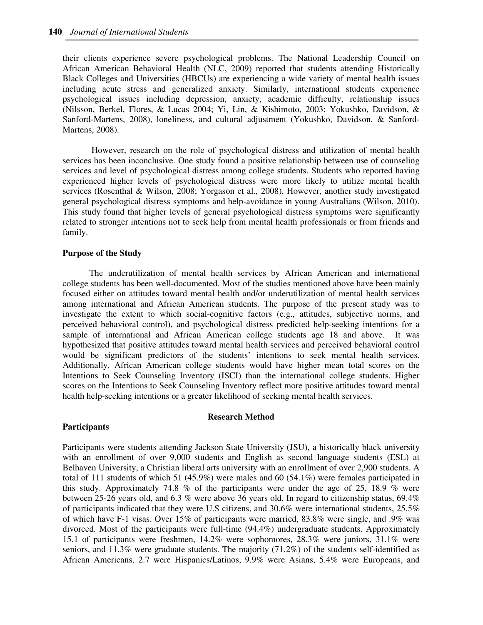their clients experience severe psychological problems. The National Leadership Council on African American Behavioral Health (NLC, 2009) reported that students attending Historically Black Colleges and Universities (HBCUs) are experiencing a wide variety of mental health issues including acute stress and generalized anxiety. Similarly, international students experience psychological issues including depression, anxiety, academic difficulty, relationship issues (Nilsson, Berkel, Flores, & Lucas 2004; Yi, Lin, & Kishimoto, 2003; Yokushko, Davidson, & Sanford-Martens, 2008), loneliness, and cultural adjustment (Yokushko, Davidson, & Sanford-Martens, 2008).

 However, research on the role of psychological distress and utilization of mental health services has been inconclusive. One study found a positive relationship between use of counseling services and level of psychological distress among college students. Students who reported having experienced higher levels of psychological distress were more likely to utilize mental health services (Rosenthal & Wilson, 2008; Yorgason et al., 2008). However, another study investigated general psychological distress symptoms and help-avoidance in young Australians (Wilson, 2010). This study found that higher levels of general psychological distress symptoms were significantly related to stronger intentions not to seek help from mental health professionals or from friends and family.

#### **Purpose of the Study**

 The underutilization of mental health services by African American and international college students has been well-documented. Most of the studies mentioned above have been mainly focused either on attitudes toward mental health and/or underutilization of mental health services among international and African American students. The purpose of the present study was to investigate the extent to which social-cognitive factors (e.g., attitudes, subjective norms, and perceived behavioral control), and psychological distress predicted help-seeking intentions for a sample of international and African American college students age 18 and above. It was hypothesized that positive attitudes toward mental health services and perceived behavioral control would be significant predictors of the students' intentions to seek mental health services. Additionally, African American college students would have higher mean total scores on the Intentions to Seek Counseling Inventory (ISCI) than the international college students. Higher scores on the Intentions to Seek Counseling Inventory reflect more positive attitudes toward mental health help-seeking intentions or a greater likelihood of seeking mental health services.

#### **Research Method**

#### **Participants**

Participants were students attending Jackson State University (JSU), a historically black university with an enrollment of over 9,000 students and English as second language students (ESL) at Belhaven University, a Christian liberal arts university with an enrollment of over 2,900 students. A total of 111 students of which 51 (45.9%) were males and 60 (54.1%) were females participated in this study. Approximately 74.8 % of the participants were under the age of 25, 18.9 % were between 25-26 years old, and 6.3 % were above 36 years old. In regard to citizenship status, 69.4% of participants indicated that they were U.S citizens, and 30.6% were international students, 25.5% of which have F-1 visas. Over 15% of participants were married, 83.8% were single, and .9% was divorced. Most of the participants were full-time (94.4%) undergraduate students. Approximately 15.1 of participants were freshmen, 14.2% were sophomores, 28.3% were juniors, 31.1% were seniors, and 11.3% were graduate students. The majority (71.2%) of the students self-identified as African Americans, 2.7 were Hispanics/Latinos, 9.9% were Asians, 5.4% were Europeans, and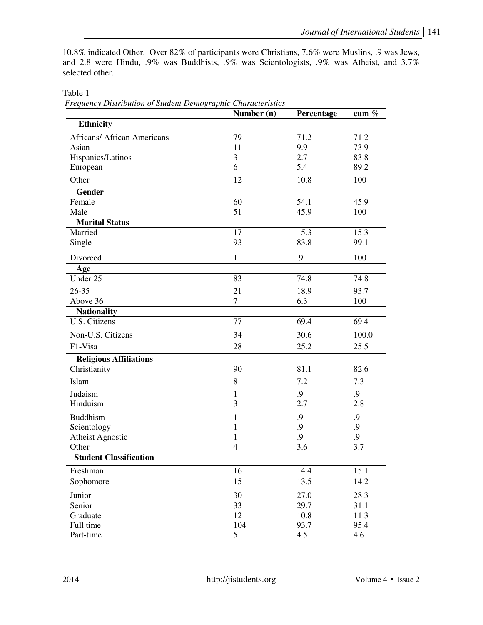10.8% indicated Other. Over 82% of participants were Christians, 7.6% were Muslins, .9 was Jews, and 2.8 were Hindu, .9% was Buddhists, .9% was Scientologists, .9% was Atheist, and 3.7% selected other.

|                                    | Number (n)     | Percentage | cum $\%$ |
|------------------------------------|----------------|------------|----------|
| <b>Ethnicity</b>                   |                |            |          |
| <b>Africans/ African Americans</b> | 79             | 71.2       | 71.2     |
| Asian                              | 11             | 9.9        | 73.9     |
| Hispanics/Latinos                  | 3              | 2.7        | 83.8     |
| European                           | 6              | 5.4        | 89.2     |
| Other                              | 12             | 10.8       | 100      |
| Gender                             |                |            |          |
| Female                             | 60             | 54.1       | 45.9     |
| Male                               | 51             | 45.9       | 100      |
| <b>Marital Status</b>              |                |            |          |
| Married                            | 17             | 15.3       | 15.3     |
| Single                             | 93             | 83.8       | 99.1     |
| Divorced                           | $\mathbf{1}$   | .9         | 100      |
| Age                                |                |            |          |
| Under 25                           | 83             | 74.8       | 74.8     |
| $26 - 35$                          | 21             | 18.9       | 93.7     |
| Above 36                           | $\overline{7}$ | 6.3        | 100      |
| <b>Nationality</b>                 |                |            |          |
| U.S. Citizens                      | 77             | 69.4       | 69.4     |
| Non-U.S. Citizens                  | 34             | 30.6       | 100.0    |
| F1-Visa                            | 28             | 25.2       | 25.5     |
| <b>Religious Affiliations</b>      |                |            |          |
| Christianity                       | 90             | 81.1       | 82.6     |
| Islam                              | 8              | 7.2        | 7.3      |
| Judaism                            | 1              | .9         | .9       |
| Hinduism                           | 3              | 2.7        | 2.8      |
| <b>Buddhism</b>                    | 1              | .9         | .9       |
| Scientology                        | 1              | .9         | .9       |
| <b>Atheist Agnostic</b>            | 1              | .9         | .9       |
| Other                              | $\overline{4}$ | 3.6        | 3.7      |
| <b>Student Classification</b>      |                |            |          |
| Freshman                           | 16             | 14.4       | 15.1     |
| Sophomore                          | 15             | 13.5       | 14.2     |
| Junior                             | 30             | 27.0       | 28.3     |
| Senior                             | 33             | 29.7       | 31.1     |
| Graduate                           | 12             | 10.8       | 11.3     |
| Full time                          | 104            | 93.7       | 95.4     |
| Part-time                          | 5              | 4.5        | 4.6      |

Table 1  *Frequency Distribution of Student Demographic Characteristics*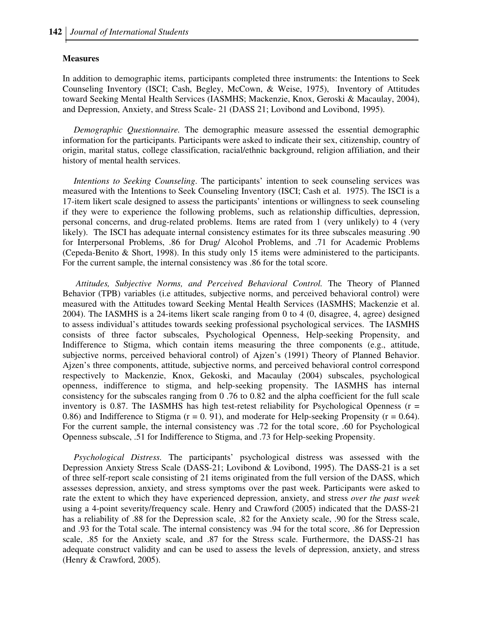#### **Measures**

In addition to demographic items, participants completed three instruments: the Intentions to Seek Counseling Inventory (ISCI; Cash, Begley, McCown, & Weise, 1975), Inventory of Attitudes toward Seeking Mental Health Services (IASMHS; Mackenzie, Knox, Geroski & Macaulay, 2004), and Depression, Anxiety, and Stress Scale- 21 (DASS 21; Lovibond and Lovibond, 1995).

 *Demographic Questionnaire.* The demographic measure assessed the essential demographic information for the participants. Participants were asked to indicate their sex, citizenship, country of origin, marital status, college classification, racial/ethnic background, religion affiliation, and their history of mental health services.

 *Intentions to Seeking Counseling*. The participants' intention to seek counseling services was measured with the Intentions to Seek Counseling Inventory (ISCI; Cash et al. 1975). The ISCI is a 17-item likert scale designed to assess the participants' intentions or willingness to seek counseling if they were to experience the following problems, such as relationship difficulties, depression, personal concerns, and drug-related problems. Items are rated from 1 (very unlikely) to 4 (very likely). The ISCI has adequate internal consistency estimates for its three subscales measuring .90 for Interpersonal Problems, .86 for Drug/ Alcohol Problems, and .71 for Academic Problems (Cepeda-Benito & Short, 1998). In this study only 15 items were administered to the participants. For the current sample, the internal consistency was .86 for the total score.

 *Attitudes, Subjective Norms, and Perceived Behavioral Control.* The Theory of Planned Behavior (TPB) variables (i.e attitudes, subjective norms, and perceived behavioral control) were measured with the Attitudes toward Seeking Mental Health Services (IASMHS; Mackenzie et al. 2004). The IASMHS is a 24-items likert scale ranging from 0 to 4 (0, disagree, 4, agree) designed to assess individual's attitudes towards seeking professional psychological services. The IASMHS consists of three factor subscales, Psychological Openness, Help-seeking Propensity, and Indifference to Stigma, which contain items measuring the three components (e.g., attitude, subjective norms, perceived behavioral control) of Ajzen's (1991) Theory of Planned Behavior. Ajzen's three components, attitude, subjective norms, and perceived behavioral control correspond respectively to Mackenzie, Knox, Gekoski, and Macaulay (2004) subscales, psychological openness, indifference to stigma, and help-seeking propensity. The IASMHS has internal consistency for the subscales ranging from 0 .76 to 0.82 and the alpha coefficient for the full scale inventory is 0.87. The IASMHS has high test-retest reliability for Psychological Openness ( $r =$ 0.86) and Indifference to Stigma ( $r = 0.91$ ), and moderate for Help-seeking Propensity ( $r = 0.64$ ). For the current sample, the internal consistency was .72 for the total score, .60 for Psychological Openness subscale, .51 for Indifference to Stigma, and .73 for Help-seeking Propensity.

 *Psychological Distress.* The participants' psychological distress was assessed with the Depression Anxiety Stress Scale (DASS-21; Lovibond & Lovibond, 1995). The DASS-21 is a set of three self-report scale consisting of 21 items originated from the full version of the DASS, which assesses depression, anxiety, and stress symptoms over the past week. Participants were asked to rate the extent to which they have experienced depression, anxiety, and stress *over the past week* using a 4-point severity/frequency scale. Henry and Crawford (2005) indicated that the DASS-21 has a reliability of .88 for the Depression scale, .82 for the Anxiety scale, .90 for the Stress scale, and .93 for the Total scale. The internal consistency was .94 for the total score, .86 for Depression scale, .85 for the Anxiety scale, and .87 for the Stress scale. Furthermore, the DASS-21 has adequate construct validity and can be used to assess the levels of depression, anxiety, and stress (Henry & Crawford, 2005).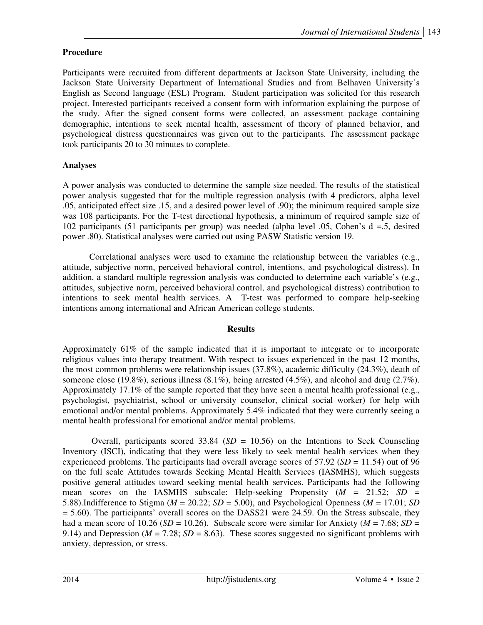# **Procedure**

Participants were recruited from different departments at Jackson State University, including the Jackson State University Department of International Studies and from Belhaven University's English as Second language (ESL) Program. Student participation was solicited for this research project. Interested participants received a consent form with information explaining the purpose of the study. After the signed consent forms were collected, an assessment package containing demographic, intentions to seek mental health, assessment of theory of planned behavior, and psychological distress questionnaires was given out to the participants. The assessment package took participants 20 to 30 minutes to complete.

# **Analyses**

A power analysis was conducted to determine the sample size needed. The results of the statistical power analysis suggested that for the multiple regression analysis (with 4 predictors, alpha level .05, anticipated effect size .15, and a desired power level of .90); the minimum required sample size was 108 participants. For the T-test directional hypothesis, a minimum of required sample size of 102 participants (51 participants per group) was needed (alpha level .05, Cohen's d =.5, desired power .80). Statistical analyses were carried out using PASW Statistic version 19.

 Correlational analyses were used to examine the relationship between the variables (e.g., attitude, subjective norm, perceived behavioral control, intentions, and psychological distress). In addition, a standard multiple regression analysis was conducted to determine each variable's (e.g., attitudes, subjective norm, perceived behavioral control, and psychological distress) contribution to intentions to seek mental health services. A T-test was performed to compare help-seeking intentions among international and African American college students.

# **Results**

Approximately 61% of the sample indicated that it is important to integrate or to incorporate religious values into therapy treatment. With respect to issues experienced in the past 12 months, the most common problems were relationship issues (37.8%), academic difficulty (24.3%), death of someone close (19.8%), serious illness (8.1%), being arrested (4.5%), and alcohol and drug (2.7%). Approximately 17.1% of the sample reported that they have seen a mental health professional (e.g., psychologist, psychiatrist, school or university counselor, clinical social worker) for help with emotional and/or mental problems. Approximately 5.4% indicated that they were currently seeing a mental health professional for emotional and/or mental problems.

Overall, participants scored  $33.84$  (*SD* = 10.56) on the Intentions to Seek Counseling Inventory (ISCI), indicating that they were less likely to seek mental health services when they experienced problems. The participants had overall average scores of  $57.92$  (*SD* = 11.54) out of 96 on the full scale Attitudes towards Seeking Mental Health Services (IASMHS), which suggests positive general attitudes toward seeking mental health services. Participants had the following mean scores on the IASMHS subscale: Help-seeking Propensity (*M* = 21.52; *SD* = 5.88).Indifference to Stigma ( $M = 20.22$ ;  $SD = 5.00$ ), and Psychological Openness ( $M = 17.01$ ;  $SD$  $= 5.60$ ). The participants' overall scores on the DASS21 were 24.59. On the Stress subscale, they had a mean score of 10.26 (*SD* = 10.26). Subscale score were similar for Anxiety ( $M = 7.68$ ; *SD* = 9.14) and Depression ( $M = 7.28$ ;  $SD = 8.63$ ). These scores suggested no significant problems with anxiety, depression, or stress.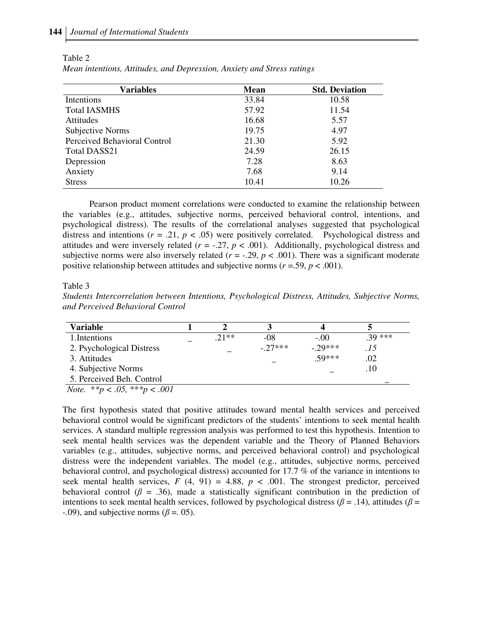| <b>Variables</b>             | <b>Mean</b> | <b>Std. Deviation</b><br>10.58 |  |
|------------------------------|-------------|--------------------------------|--|
| Intentions                   | 33.84       |                                |  |
| <b>Total IASMHS</b>          | 57.92       | 11.54                          |  |
| Attitudes                    | 16.68       | 5.57                           |  |
| Subjective Norms             | 19.75       | 4.97                           |  |
| Perceived Behavioral Control | 21.30       | 5.92                           |  |
| <b>Total DASS21</b>          | 24.59       | 26.15                          |  |
| Depression                   | 7.28        | 8.63                           |  |
| Anxiety                      | 7.68        | 9.14                           |  |
| <b>Stress</b>                | 10.41       | 10.26                          |  |

Table 2 *Mean intentions, Attitudes, and Depression, Anxiety and Stress ratings* 

Pearson product moment correlations were conducted to examine the relationship between the variables (e.g., attitudes, subjective norms, perceived behavioral control, intentions, and psychological distress). The results of the correlational analyses suggested that psychological distress and intentions  $(r = .21, p < .05)$  were positively correlated. Psychological distress and attitudes and were inversely related  $(r = -.27, p < .001)$ . Additionally, psychological distress and subjective norms were also inversely related  $(r = -0.29, p < 0.001)$ . There was a significant moderate positive relationship between attitudes and subjective norms (*r* =.59, *p* < .001).

Table 3

*Students Intercorrelation between Intentions, Psychological Distress, Attitudes, Subjective Norms, and Perceived Behavioral Control*

| Variable                                                                                                                   |         |          |          |          |
|----------------------------------------------------------------------------------------------------------------------------|---------|----------|----------|----------|
| 1. Intentions                                                                                                              | $.21**$ | -08      | $-.00.$  | $.39***$ |
| 2. Psychological Distress                                                                                                  |         | $-27***$ | $-29***$ | .15      |
| 3. Attitudes                                                                                                               |         |          | $.59***$ | .02      |
| 4. Subjective Norms                                                                                                        |         |          |          | .10      |
| 5. Perceived Beh. Control                                                                                                  |         |          |          |          |
| $\mathbf{A} \mathbf{A}$ and $\mathbf{A}$ and $\mathbf{A}$ and $\mathbf{A}$ and $\mathbf{A}$ and $\mathbf{A}$<br>$\sim$ 001 |         |          |          |          |

 *Note.* \**\*p < .05,* \*\**\*p < .001*

The first hypothesis stated that positive attitudes toward mental health services and perceived behavioral control would be significant predictors of the students' intentions to seek mental health services. A standard multiple regression analysis was performed to test this hypothesis. Intention to seek mental health services was the dependent variable and the Theory of Planned Behaviors variables (e.g., attitudes, subjective norms, and perceived behavioral control) and psychological distress were the independent variables. The model (e.g., attitudes, subjective norms, perceived behavioral control, and psychological distress) accounted for 17.7 % of the variance in intentions to seek mental health services,  $F(4, 91) = 4.88$ ,  $p < .001$ . The strongest predictor, perceived behavioral control ( $\beta = .36$ ), made a statistically significant contribution in the prediction of intentions to seek mental health services, followed by psychological distress ( $\beta$  = .14), attitudes ( $\beta$  = -.09), and subjective norms ( $\beta$  = 0.05).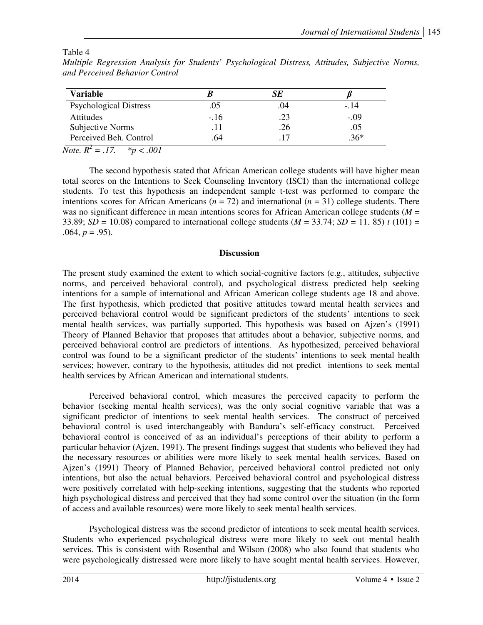### Table 4

| <b>Variable</b>               |        | SE  |        |
|-------------------------------|--------|-----|--------|
| <b>Psychological Distress</b> | .05    | .04 | $-.14$ |
| Attitudes                     | $-.16$ | .23 | $-.09$ |
| Subjective Norms              | . 1 1  | .26 | .05    |
| Perceived Beh. Control        | .64    |     | $.36*$ |

*Multiple Regression Analysis for Students' Psychological Distress, Attitudes, Subjective Norms, and Perceived Behavior Control* 

*Note.*  $R^2 = .17.$  \*p < .001

The second hypothesis stated that African American college students will have higher mean total scores on the Intentions to Seek Counseling Inventory (ISCI) than the international college students. To test this hypothesis an independent sample t-test was performed to compare the intentions scores for African Americans ( $n = 72$ ) and international ( $n = 31$ ) college students. There was no significant difference in mean intentions scores for African American college students (*M* = 33.89; *SD* = 10.08) compared to international college students ( $M = 33.74$ ; *SD* = 11. 85) *t* (101) = .064,  $p = .95$ ).

### **Discussion**

The present study examined the extent to which social-cognitive factors (e.g., attitudes, subjective norms, and perceived behavioral control), and psychological distress predicted help seeking intentions for a sample of international and African American college students age 18 and above. The first hypothesis, which predicted that positive attitudes toward mental health services and perceived behavioral control would be significant predictors of the students' intentions to seek mental health services, was partially supported. This hypothesis was based on Ajzen's (1991) Theory of Planned Behavior that proposes that attitudes about a behavior, subjective norms, and perceived behavioral control are predictors of intentions. As hypothesized, perceived behavioral control was found to be a significant predictor of the students' intentions to seek mental health services; however, contrary to the hypothesis, attitudes did not predict intentions to seek mental health services by African American and international students.

 Perceived behavioral control, which measures the perceived capacity to perform the behavior (seeking mental health services), was the only social cognitive variable that was a significant predictor of intentions to seek mental health services. The construct of perceived behavioral control is used interchangeably with Bandura's self-efficacy construct. Perceived behavioral control is conceived of as an individual's perceptions of their ability to perform a particular behavior (Ajzen, 1991). The present findings suggest that students who believed they had the necessary resources or abilities were more likely to seek mental health services. Based on Ajzen's (1991) Theory of Planned Behavior, perceived behavioral control predicted not only intentions, but also the actual behaviors. Perceived behavioral control and psychological distress were positively correlated with help-seeking intentions, suggesting that the students who reported high psychological distress and perceived that they had some control over the situation (in the form of access and available resources) were more likely to seek mental health services.

 Psychological distress was the second predictor of intentions to seek mental health services. Students who experienced psychological distress were more likely to seek out mental health services. This is consistent with Rosenthal and Wilson (2008) who also found that students who were psychologically distressed were more likely to have sought mental health services. However,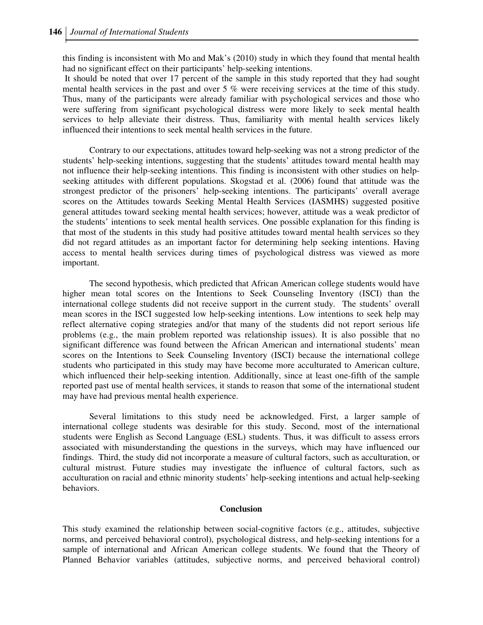this finding is inconsistent with Mo and Mak's (2010) study in which they found that mental health had no significant effect on their participants' help-seeking intentions.

 It should be noted that over 17 percent of the sample in this study reported that they had sought mental health services in the past and over  $5\%$  were receiving services at the time of this study. Thus, many of the participants were already familiar with psychological services and those who were suffering from significant psychological distress were more likely to seek mental health services to help alleviate their distress. Thus, familiarity with mental health services likely influenced their intentions to seek mental health services in the future.

 Contrary to our expectations, attitudes toward help-seeking was not a strong predictor of the students' help-seeking intentions, suggesting that the students' attitudes toward mental health may not influence their help-seeking intentions. This finding is inconsistent with other studies on helpseeking attitudes with different populations. Skogstad et al. (2006) found that attitude was the strongest predictor of the prisoners' help-seeking intentions. The participants' overall average scores on the Attitudes towards Seeking Mental Health Services (IASMHS) suggested positive general attitudes toward seeking mental health services; however, attitude was a weak predictor of the students' intentions to seek mental health services. One possible explanation for this finding is that most of the students in this study had positive attitudes toward mental health services so they did not regard attitudes as an important factor for determining help seeking intentions. Having access to mental health services during times of psychological distress was viewed as more important.

 The second hypothesis, which predicted that African American college students would have higher mean total scores on the Intentions to Seek Counseling Inventory (ISCI) than the international college students did not receive support in the current study. The students' overall mean scores in the ISCI suggested low help-seeking intentions. Low intentions to seek help may reflect alternative coping strategies and/or that many of the students did not report serious life problems (e.g., the main problem reported was relationship issues). It is also possible that no significant difference was found between the African American and international students' mean scores on the Intentions to Seek Counseling Inventory (ISCI) because the international college students who participated in this study may have become more acculturated to American culture, which influenced their help-seeking intention. Additionally, since at least one-fifth of the sample reported past use of mental health services, it stands to reason that some of the international student may have had previous mental health experience.

 Several limitations to this study need be acknowledged. First, a larger sample of international college students was desirable for this study. Second, most of the international students were English as Second Language (ESL) students. Thus, it was difficult to assess errors associated with misunderstanding the questions in the surveys, which may have influenced our findings. Third, the study did not incorporate a measure of cultural factors, such as acculturation, or cultural mistrust. Future studies may investigate the influence of cultural factors, such as acculturation on racial and ethnic minority students' help-seeking intentions and actual help-seeking behaviors.

#### **Conclusion**

This study examined the relationship between social-cognitive factors (e.g., attitudes, subjective norms, and perceived behavioral control), psychological distress, and help-seeking intentions for a sample of international and African American college students. We found that the Theory of Planned Behavior variables (attitudes, subjective norms, and perceived behavioral control)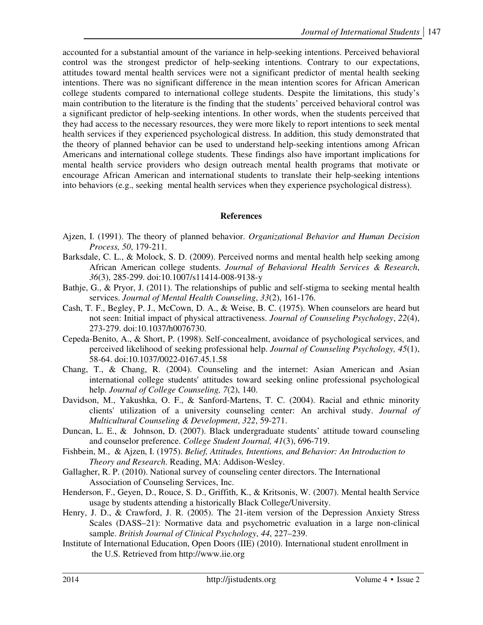accounted for a substantial amount of the variance in help-seeking intentions. Perceived behavioral control was the strongest predictor of help-seeking intentions. Contrary to our expectations, attitudes toward mental health services were not a significant predictor of mental health seeking intentions. There was no significant difference in the mean intention scores for African American college students compared to international college students. Despite the limitations, this study's main contribution to the literature is the finding that the students' perceived behavioral control was a significant predictor of help-seeking intentions. In other words, when the students perceived that they had access to the necessary resources, they were more likely to report intentions to seek mental health services if they experienced psychological distress. In addition, this study demonstrated that the theory of planned behavior can be used to understand help-seeking intentions among African Americans and international college students. These findings also have important implications for mental health service providers who design outreach mental health programs that motivate or encourage African American and international students to translate their help-seeking intentions into behaviors (e.g., seeking mental health services when they experience psychological distress).

### **References**

- Ajzen, I. (1991). The theory of planned behavior. *Organizational Behavior and Human Decision Process, 50*, 179-211.
- Barksdale, C. L., & Molock, S. D. (2009). Perceived norms and mental health help seeking among African American college students. *Journal of Behavioral Health Services & Research*, *36*(3), 285-299. doi:10.1007/s11414-008-9138-y
- Bathje, G., & Pryor, J. (2011). The relationships of public and self-stigma to seeking mental health services. *Journal of Mental Health Counseling*, *33*(2), 161-176.
- Cash, T. F., Begley, P. J., McCown, D. A., & Weise, B. C. (1975). When counselors are heard but not seen: Initial impact of physical attractiveness. *Journal of Counseling Psychology*, *22*(4), 273-279. doi:10.1037/h0076730.
- Cepeda-Benito, A., & Short, P. (1998). Self-concealment, avoidance of psychological services, and perceived likelihood of seeking professional help. *Journal of Counseling Psychology, 45*(1), 58-64. doi:10.1037/0022-0167.45.1.58
- Chang, T., & Chang, R. (2004). Counseling and the internet: Asian American and Asian international college students' attitudes toward seeking online professional psychological help. *Journal of College Counseling, 7*(2), 140.
- Davidson, M., Yakushka, O. F., & Sanford-Martens, T. C. (2004). Racial and ethnic minority clients' utilization of a university counseling center: An archival study. *Journal of Multicultural Counseling & Development*, *322*, 59-271.
- Duncan, L. E., & Johnson, D. (2007). Black undergraduate students' attitude toward counseling and counselor preference. *College Student Journal, 41*(3), 696-719.
- Fishbein, M., & Ajzen, I. (1975). *Belief, Attitudes, Intentions, and Behavior: An Introduction to Theory and Research*. Reading, MA: Addison-Wesley.
- Gallagher, R. P. (2010). National survey of counseling center directors. The International Association of Counseling Services, Inc.
- Henderson, F., Geyen, D., Rouce, S. D., Griffith, K., & Kritsonis, W. (2007). Mental health Service usage by students attending a historically Black College/University.
- Henry, J. D., & Crawford, J. R. (2005). The 21-item version of the Depression Anxiety Stress Scales (DASS–21): Normative data and psychometric evaluation in a large non-clinical sample. *British Journal of Clinical Psychology*, *44*, 227–239.
- Institute of International Education, Open Doors (IIE) (2010). International student enrollment in the U.S. Retrieved from http://www.iie.org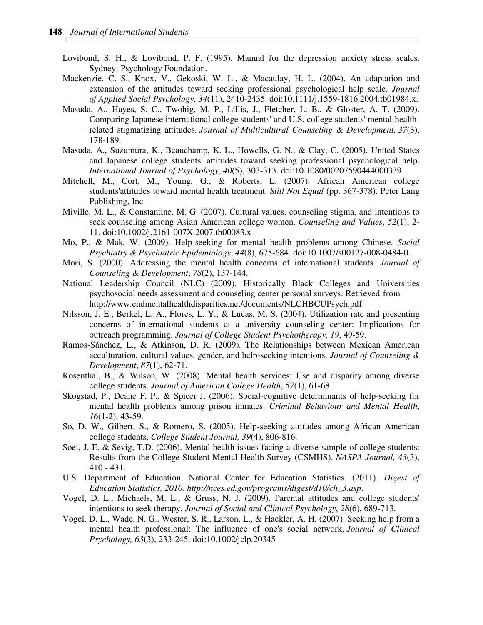- Lovibond, S. H., & Lovibond, P. F. (1995). Manual for the depression anxiety stress scales. Sydney: Psychology Foundation.
- Mackenzie, C. S., Knox, V., Gekoski, W. L., & Macaulay, H. L. (2004). An adaptation and extension of the attitudes toward seeking professional psychological help scale. *Journal of Applied Social Psychology, 34*(11), 2410-2435. doi:10.1111/j.1559-1816.2004.tb01984.x.
- Masuda, A., Hayes, S. C., Twohig, M. P., Lillis, J., Fletcher, L. B., & Gloster, A. T. (2009). Comparing Japanese international college students' and U.S. college students' mental-healthrelated stigmatizing attitudes. *Journal of Multicultural Counseling & Development, 37*(3), 178-189.
- Masuda, A., Suzumura, K., Beauchamp, K. L., Howells, G. N., & Clay, C. (2005). United States and Japanese college students' attitudes toward seeking professional psychological help. *International Journal of Psychology*, *40*(5), 303-313. doi:10.1080/00207590444000339
- Mitchell, M., Cort, M., Young, G., & Roberts, L. (2007). African American college students'attitudes toward mental health treatment. *Still Not Equal* (pp. 367-378). Peter Lang Publishing, Inc
- Miville, M. L., & Constantine, M. G. (2007). Cultural values, counseling stigma, and intentions to seek counseling among Asian American college women. *Counseling and Values*, *52*(1), 2- 11. doi:10.1002/j.2161-007X.2007.tb00083.x
- Mo, P., & Mak, W. (2009). Help-seeking for mental health problems among Chinese. *Social Psychiatry & Psychiatric Epidemiology*, *44*(8), 675-684. doi:10.1007/s00127-008-0484-0.
- Mori, S. (2000). Addressing the mental health concerns of international students. *Journal of Counseling & Development*, *78*(2), 137-144.
- National Leadership Council (NLC) (2009). Historically Black Colleges and Universities psychosocial needs assessment and counseling center personal surveys. Retrieved from http://www.endmentalhealthdisparities.net/documents/NLCHBCUPsych.pdf
- Nilsson, J. E., Berkel, L. A., Flores, L. Y., & Lucas, M. S. (2004). Utilization rate and presenting concerns of international students at a university counseling center: Implications for outreach programming. *Journal of College Student Psychotherapy, 19*, 49-59.
- Ramos-Sánchez, L., & Atkinson, D. R. (2009). The Relationships between Mexican American acculturation, cultural values, gender, and help-seeking intentions. *Journal of Counseling & Development*, *87*(1), 62-71.
- Rosenthal, B., & Wilson, W. (2008). Mental health services: Use and disparity among diverse college students. *Journal of American College Health*, *57*(1), 61-68.
- Skogstad, P., Deane F. P., & Spicer J. (2006). Social-cognitive determinants of help-seeking for mental health problems among prison inmates. *Criminal Behaviour and Mental Health*, *16*(1-2), 43-59.
- So, D. W., Gilbert, S., & Romero, S. (2005). Help-seeking attitudes among African American college students. *College Student Journal, 39*(4), 806-816.
- Soet, J. E. & Sevig, T.D. (2006). Mental health issues facing a diverse sample of college students: Results from the College Student Mental Health Survey (CSMHS). *NASPA Journal, 43*(3), 410 - 431.
- U.S. Department of Education, National Center for Education Statistics. (2011). *Digest of Education Statistics, 2010. http://nces.ed.gov/programs/digest/d10/ch\_3.asp*.
- Vogel, D. L., Michaels, M. L., & Gruss, N. J. (2009). Parental attitudes and college students' intentions to seek therapy. *Journal of Social and Clinical Psychology*, *28*(6), 689-713.
- Vogel, D. L., Wade, N. G., Wester, S. R., Larson, L., & Hackler, A. H. (2007). Seeking help from a mental health professional: The influence of one's social network. *Journal of Clinical Psychology, 63*(3), 233-245. doi:10.1002/jclp.20345